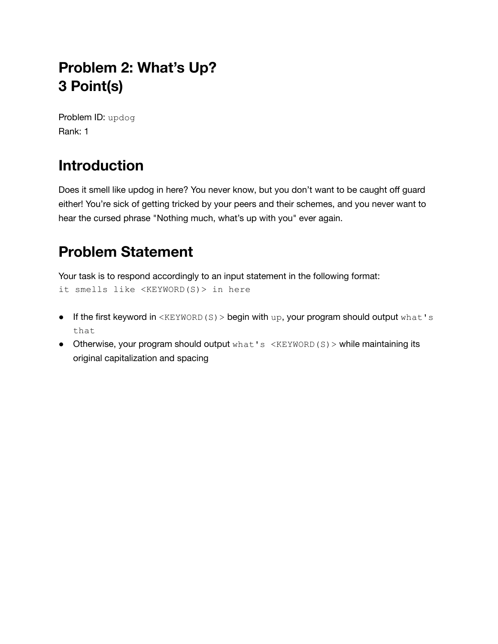# **Problem 2: What's Up? 3 Point(s)**

Problem ID: updog Rank: 1

# **Introduction**

Does it smell like updog in here? You never know, but you don't want to be caught off guard either! You're sick of getting tricked by your peers and their schemes, and you never want to hear the cursed phrase "Nothing much, what's up with you" ever again.

# **Problem Statement**

Your task is to respond accordingly to an input statement in the following format: it smells like <KEYWORD(S)> in here

- $\bullet$  If the first keyword in <KEYWORD(S) > begin with up, your program should output what's that
- Otherwise, your program should output what's <KEYWORD(S) > while maintaining its original capitalization and spacing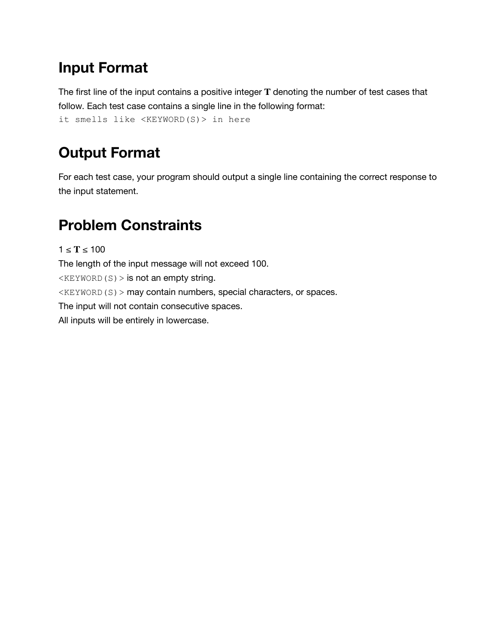# **Input Format**

The first line of the input contains a positive integer **T** denoting the number of test cases that follow. Each test case contains a single line in the following format: it smells like <KEYWORD(S)> in here

# **Output Format**

For each test case, your program should output a single line containing the correct response to the input statement.

# **Problem Constraints**

 $1 ≤ T ≤ 100$ The length of the input message will not exceed 100.  $\langle$ KEYWORD(S) > is not an empty string.  $K$ EYWORD(S) > may contain numbers, special characters, or spaces. The input will not contain consecutive spaces. All inputs will be entirely in lowercase.